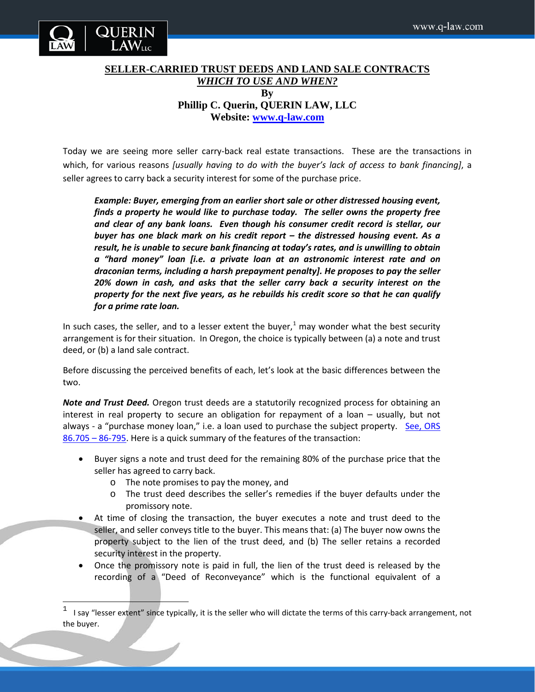

 $\overline{\phantom{a}}$ 

## **SELLER-CARRIED TRUST DEEDS AND LAND SALE CONTRACTS** *WHICH TO USE AND WHEN?* **By Phillip C. Querin, QUERIN LAW, LLC Website: [www.q-law.com](http://www.q-law.com/)**

Today we are seeing more seller carry-back real estate transactions. These are the transactions in which, for various reasons *[usually having to do with the buyer's lack of access to bank financing]*, a seller agrees to carry back a security interest for some of the purchase price.

*Example: Buyer, emerging from an earlier short sale or other distressed housing event, finds a property he would like to purchase today. The seller owns the property free and clear of any bank loans. Even though his consumer credit record is stellar, our buyer has one black mark on his credit report – the distressed housing event. As a result, he is unable to secure bank financing at today's rates, and is unwilling to obtain a "hard money" loan [i.e. a private loan at an astronomic interest rate and on draconian terms, including a harsh prepayment penalty]. He proposes to pay the seller 20% down in cash, and asks that the seller carry back a security interest on the property for the next five years, as he rebuilds his credit score so that he can qualify for a prime rate loan.* 

In such cases, the seller, and to a lesser extent the buyer, $1$  may wonder what the best security arrangement is for their situation. In Oregon, the choice is typically between (a) a note and trust deed, or (b) a land sale contract.

Before discussing the perceived benefits of each, let's look at the basic differences between the two.

*Note and Trust Deed.* Oregon trust deeds are a statutorily recognized process for obtaining an interest in real property to secure an obligation for repayment of a loan – usually, but not always - a "purchase money loan," i.e. a loan used to purchase the subject property. [See, ORS](http://www.oregonlaws.org/ors/86.705)  [86.705 –](http://www.oregonlaws.org/ors/86.705) 86-795. Here is a quick summary of the features of the transaction:

- Buyer signs a note and trust deed for the remaining 80% of the purchase price that the seller has agreed to carry back.
	- o The note promises to pay the money, and
	- o The trust deed describes the seller's remedies if the buyer defaults under the promissory note.
- At time of closing the transaction, the buyer executes a note and trust deed to the seller, and seller conveys title to the buyer. This means that: (a) The buyer now owns the property subject to the lien of the trust deed, and (b) The seller retains a recorded security interest in the property.
- Once the promissory note is paid in full, the lien of the trust deed is released by the recording of a "Deed of Reconveyance" which is the functional equivalent of a

<span id="page-0-0"></span> $1$  I say "lesser extent" since typically, it is the seller who will dictate the terms of this carry-back arrangement, not the buyer.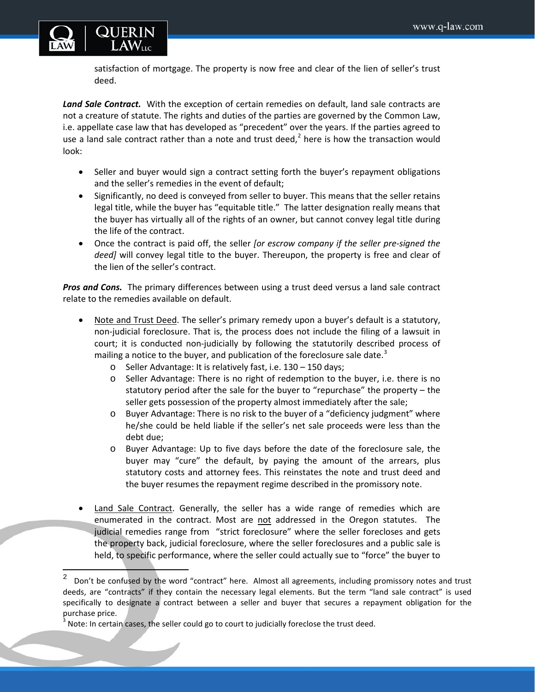

l

satisfaction of mortgage. The property is now free and clear of the lien of seller's trust deed.

Land Sale Contract. With the exception of certain remedies on default, land sale contracts are not a creature of statute. The rights and duties of the parties are governed by the Common Law, i.e. appellate case law that has developed as "precedent" over the years. If the parties agreed to use a land sale contract rather than a note and trust deed, $<sup>2</sup>$  $<sup>2</sup>$  $<sup>2</sup>$  here is how the transaction would</sup> look:

- Seller and buyer would sign a contract setting forth the buyer's repayment obligations and the seller's remedies in the event of default;
- Significantly, no deed is conveyed from seller to buyer. This means that the seller retains legal title, while the buyer has "equitable title." The latter designation really means that the buyer has virtually all of the rights of an owner, but cannot convey legal title during the life of the contract.
- Once the contract is paid off, the seller *[or escrow company if the seller pre-signed the deed]* will convey legal title to the buyer. Thereupon, the property is free and clear of the lien of the seller's contract.

*Pros and Cons.* The primary differences between using a trust deed versus a land sale contract relate to the remedies available on default.

- Note and Trust Deed. The seller's primary remedy upon a buyer's default is a statutory, non-judicial foreclosure. That is, the process does not include the filing of a lawsuit in court; it is conducted non-judicially by following the statutorily described process of mailing a notice to the buyer, and publication of the foreclosure sale date.<sup>[3](#page-1-1)</sup>
	- o Seller Advantage: It is relatively fast, i.e. 130 150 days;
	- o Seller Advantage: There is no right of redemption to the buyer, i.e. there is no statutory period after the sale for the buyer to "repurchase" the property – the seller gets possession of the property almost immediately after the sale;
	- o Buyer Advantage: There is no risk to the buyer of a "deficiency judgment" where he/she could be held liable if the seller's net sale proceeds were less than the debt due;
	- o Buyer Advantage: Up to five days before the date of the foreclosure sale, the buyer may "cure" the default, by paying the amount of the arrears, plus statutory costs and attorney fees. This reinstates the note and trust deed and the buyer resumes the repayment regime described in the promissory note.
- Land Sale Contract. Generally, the seller has a wide range of remedies which are enumerated in the contract. Most are not addressed in the Oregon statutes. The judicial remedies range from "strict foreclosure" where the seller forecloses and gets the property back, judicial foreclosure, where the seller foreclosures and a public sale is held, to specific performance, where the seller could actually sue to "force" the buyer to

<span id="page-1-0"></span><sup>2</sup> Don't be confused by the word "contract" here. Almost all agreements, including promissory notes and trust deeds, are "contracts" if they contain the necessary legal elements. But the term "land sale contract" is used specifically to designate a contract between a seller and buyer that secures a repayment obligation for the purchase price.

<span id="page-1-1"></span> $3$  Note: In certain cases, the seller could go to court to judicially foreclose the trust deed.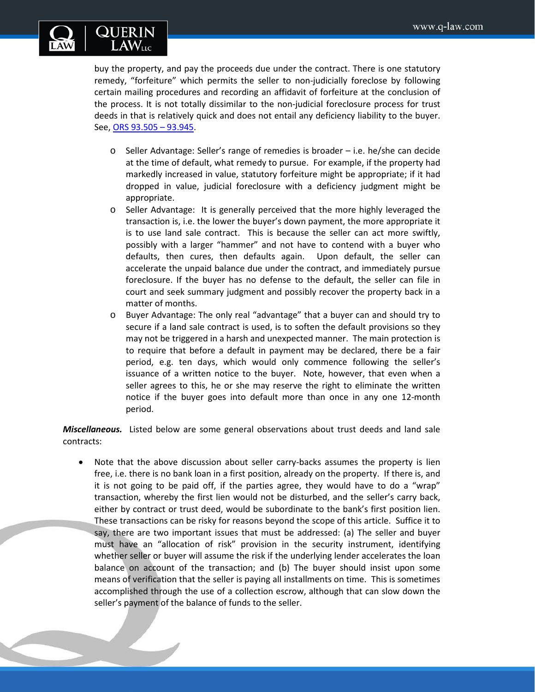

buy the property, and pay the proceeds due under the contract. There is one statutory remedy, "forfeiture" which permits the seller to non-judicially foreclose by following certain mailing procedures and recording an affidavit of forfeiture at the conclusion of the process. It is not totally dissimilar to the non-judicial foreclosure process for trust deeds in that is relatively quick and does not entail any deficiency liability to the buyer. See, ORS [93.505 –](http://www.oregonlaws.org/ors/93.905) 93.945.

- o Seller Advantage: Seller's range of remedies is broader i.e. he/she can decide at the time of default, what remedy to pursue. For example, if the property had markedly increased in value, statutory forfeiture might be appropriate; if it had dropped in value, judicial foreclosure with a deficiency judgment might be appropriate.
- o Seller Advantage: It is generally perceived that the more highly leveraged the transaction is, i.e. the lower the buyer's down payment, the more appropriate it is to use land sale contract. This is because the seller can act more swiftly, possibly with a larger "hammer" and not have to contend with a buyer who defaults, then cures, then defaults again. Upon default, the seller can accelerate the unpaid balance due under the contract, and immediately pursue foreclosure. If the buyer has no defense to the default, the seller can file in court and seek summary judgment and possibly recover the property back in a matter of months.
- o Buyer Advantage: The only real "advantage" that a buyer can and should try to secure if a land sale contract is used, is to soften the default provisions so they may not be triggered in a harsh and unexpected manner. The main protection is to require that before a default in payment may be declared, there be a fair period, e.g. ten days, which would only commence following the seller's issuance of a written notice to the buyer. Note, however, that even when a seller agrees to this, he or she may reserve the right to eliminate the written notice if the buyer goes into default more than once in any one 12-month period.

*Miscellaneous.* Listed below are some general observations about trust deeds and land sale contracts:

Note that the above discussion about seller carry-backs assumes the property is lien free, i.e. there is no bank loan in a first position, already on the property. If there is, and it is not going to be paid off, if the parties agree, they would have to do a "wrap" transaction, whereby the first lien would not be disturbed, and the seller's carry back, either by contract or trust deed, would be subordinate to the bank's first position lien. These transactions can be risky for reasons beyond the scope of this article. Suffice it to say, there are two important issues that must be addressed: (a) The seller and buyer must have an "allocation of risk" provision in the security instrument, identifying whether seller or buyer will assume the risk if the underlying lender accelerates the loan balance on account of the transaction; and (b) The buyer should insist upon some means of verification that the seller is paying all installments on time. This is sometimes accomplished through the use of a collection escrow, although that can slow down the seller's payment of the balance of funds to the seller.